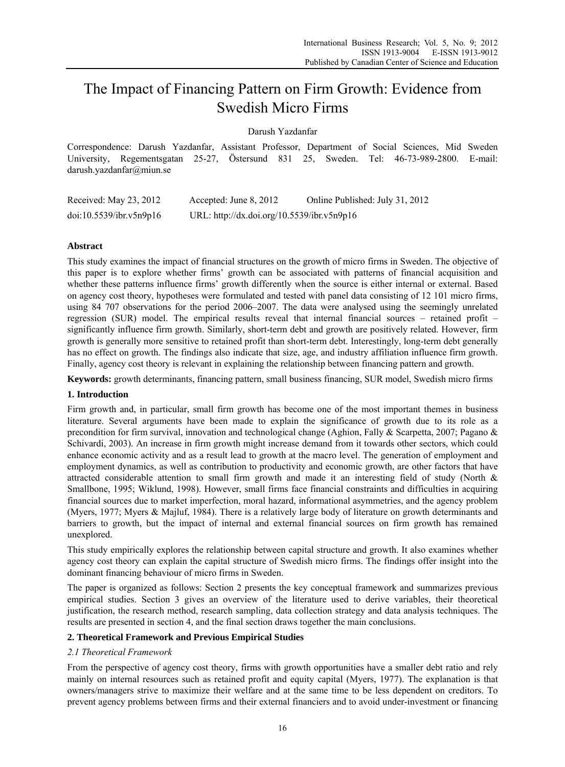# The Impact of Financing Pattern on Firm Growth: Evidence from Swedish Micro Firms

Darush Yazdanfar

Correspondence: Darush Yazdanfar, Assistant Professor, Department of Social Sciences, Mid Sweden University, Regementsgatan 25-27, Östersund 831 25, Sweden. Tel: 46-73-989-2800. E-mail: darush.yazdanfar@miun.se

| Received: May 23, 2012  | Accepted: June 8, 2012                     | Online Published: July 31, 2012 |
|-------------------------|--------------------------------------------|---------------------------------|
| doi:10.5539/ibr.v5n9p16 | URL: http://dx.doi.org/10.5539/ibr.v5n9p16 |                                 |

# **Abstract**

This study examines the impact of financial structures on the growth of micro firms in Sweden. The objective of this paper is to explore whether firms' growth can be associated with patterns of financial acquisition and whether these patterns influence firms' growth differently when the source is either internal or external. Based on agency cost theory, hypotheses were formulated and tested with panel data consisting of 12 101 micro firms, using 84 707 observations for the period 2006–2007. The data were analysed using the seemingly unrelated regression (SUR) model. The empirical results reveal that internal financial sources – retained profit – significantly influence firm growth. Similarly, short-term debt and growth are positively related. However, firm growth is generally more sensitive to retained profit than short-term debt. Interestingly, long-term debt generally has no effect on growth. The findings also indicate that size, age, and industry affiliation influence firm growth. Finally, agency cost theory is relevant in explaining the relationship between financing pattern and growth.

**Keywords:** growth determinants, financing pattern, small business financing, SUR model, Swedish micro firms

# **1. Introduction**

Firm growth and, in particular, small firm growth has become one of the most important themes in business literature. Several arguments have been made to explain the significance of growth due to its role as a precondition for firm survival, innovation and technological change (Aghion, Fally & Scarpetta, 2007; Pagano & Schivardi, 2003). An increase in firm growth might increase demand from it towards other sectors, which could enhance economic activity and as a result lead to growth at the macro level. The generation of employment and employment dynamics, as well as contribution to productivity and economic growth, are other factors that have attracted considerable attention to small firm growth and made it an interesting field of study (North & Smallbone, 1995; Wiklund, 1998). However, small firms face financial constraints and difficulties in acquiring financial sources due to market imperfection, moral hazard, informational asymmetries, and the agency problem (Myers, 1977; Myers & Majluf, 1984). There is a relatively large body of literature on growth determinants and barriers to growth, but the impact of internal and external financial sources on firm growth has remained unexplored.

This study empirically explores the relationship between capital structure and growth. It also examines whether agency cost theory can explain the capital structure of Swedish micro firms. The findings offer insight into the dominant financing behaviour of micro firms in Sweden.

The paper is organized as follows: Section 2 presents the key conceptual framework and summarizes previous empirical studies. Section 3 gives an overview of the literature used to derive variables, their theoretical justification, the research method, research sampling, data collection strategy and data analysis techniques. The results are presented in section 4, and the final section draws together the main conclusions.

# **2. Theoretical Framework and Previous Empirical Studies**

# *2.1 Theoretical Framework*

From the perspective of agency cost theory, firms with growth opportunities have a smaller debt ratio and rely mainly on internal resources such as retained profit and equity capital (Myers, 1977). The explanation is that owners/managers strive to maximize their welfare and at the same time to be less dependent on creditors. To prevent agency problems between firms and their external financiers and to avoid under-investment or financing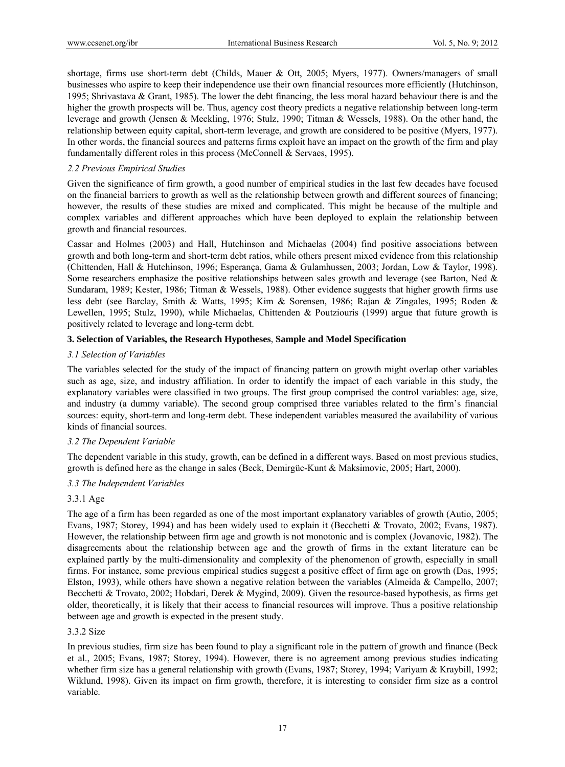shortage, firms use short-term debt (Childs, Mauer & Ott, 2005; Myers, 1977). Owners/managers of small businesses who aspire to keep their independence use their own financial resources more efficiently (Hutchinson, 1995; Shrivastava & Grant, 1985). The lower the debt financing, the less moral hazard behaviour there is and the higher the growth prospects will be. Thus, agency cost theory predicts a negative relationship between long-term leverage and growth (Jensen & Meckling, 1976; Stulz, 1990; Titman & Wessels, 1988). On the other hand, the relationship between equity capital, short-term leverage, and growth are considered to be positive (Myers, 1977). In other words, the financial sources and patterns firms exploit have an impact on the growth of the firm and play fundamentally different roles in this process (McConnell & Servaes, 1995).

## *2.2 Previous Empirical Studies*

Given the significance of firm growth, a good number of empirical studies in the last few decades have focused on the financial barriers to growth as well as the relationship between growth and different sources of financing; however, the results of these studies are mixed and complicated. This might be because of the multiple and complex variables and different approaches which have been deployed to explain the relationship between growth and financial resources.

Cassar and Holmes (2003) and Hall, Hutchinson and Michaelas (2004) find positive associations between growth and both long-term and short-term debt ratios, while others present mixed evidence from this relationship (Chittenden, Hall & Hutchinson, 1996; Esperança, Gama & Gulamhussen, 2003; Jordan, Low & Taylor, 1998). Some researchers emphasize the positive relationships between sales growth and leverage (see Barton, Ned & Sundaram, 1989; Kester, 1986; Titman & Wessels, 1988). Other evidence suggests that higher growth firms use less debt (see Barclay, Smith & Watts, 1995; Kim & Sorensen, 1986; Rajan & Zingales, 1995; Roden & Lewellen, 1995; Stulz, 1990), while Michaelas, Chittenden & Poutziouris (1999) argue that future growth is positively related to leverage and long-term debt.

## **3. Selection of Variables, the Research Hypotheses**, **Sample and Model Specification**

## *3.1 Selection of Variables*

The variables selected for the study of the impact of financing pattern on growth might overlap other variables such as age, size, and industry affiliation. In order to identify the impact of each variable in this study, the explanatory variables were classified in two groups. The first group comprised the control variables: age, size, and industry (a dummy variable). The second group comprised three variables related to the firm's financial sources: equity, short-term and long-term debt. These independent variables measured the availability of various kinds of financial sources.

## *3.2 The Dependent Variable*

The dependent variable in this study, growth, can be defined in a different ways. Based on most previous studies, growth is defined here as the change in sales (Beck, Demirgüc-Kunt & Maksimovic, 2005; Hart, 2000).

## *3.3 The Independent Variables*

## 3.3.1 Age

The age of a firm has been regarded as one of the most important explanatory variables of growth (Autio, 2005; Evans, 1987; Storey, 1994) and has been widely used to explain it (Becchetti & Trovato, 2002; Evans, 1987). However, the relationship between firm age and growth is not monotonic and is complex (Jovanovic, 1982). The disagreements about the relationship between age and the growth of firms in the extant literature can be explained partly by the multi-dimensionality and complexity of the phenomenon of growth, especially in small firms. For instance, some previous empirical studies suggest a positive effect of firm age on growth (Das, 1995; Elston, 1993), while others have shown a negative relation between the variables (Almeida & Campello, 2007; Becchetti & Trovato, 2002; Hobdari, Derek & Mygind, 2009). Given the resource-based hypothesis, as firms get older, theoretically, it is likely that their access to financial resources will improve. Thus a positive relationship between age and growth is expected in the present study.

## 3.3.2 Size

In previous studies, firm size has been found to play a significant role in the pattern of growth and finance (Beck et al., 2005; Evans, 1987; Storey, 1994). However, there is no agreement among previous studies indicating whether firm size has a general relationship with growth (Evans, 1987; Storey, 1994; Variyam & Kraybill, 1992; Wiklund, 1998). Given its impact on firm growth, therefore, it is interesting to consider firm size as a control variable.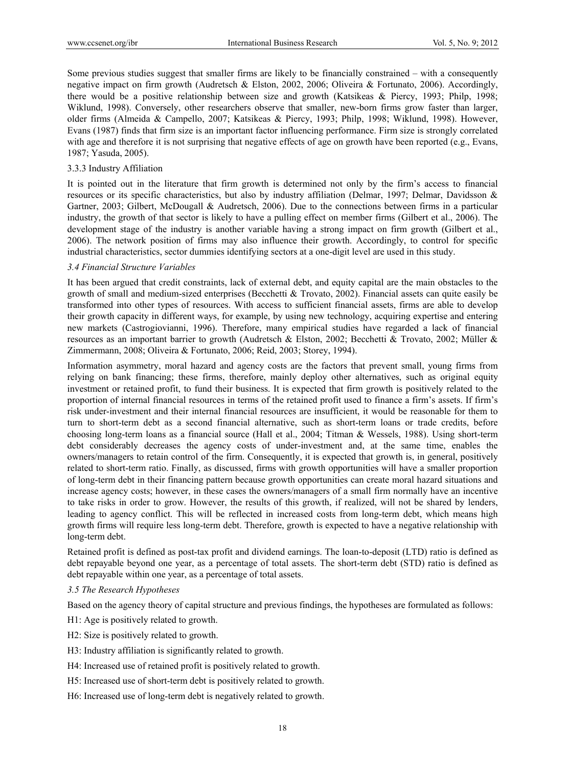Some previous studies suggest that smaller firms are likely to be financially constrained – with a consequently negative impact on firm growth (Audretsch & Elston, 2002, 2006; Oliveira & Fortunato, 2006). Accordingly, there would be a positive relationship between size and growth (Katsikeas & Piercy, 1993; Philp, 1998; Wiklund, 1998). Conversely, other researchers observe that smaller, new-born firms grow faster than larger, older firms (Almeida & Campello, 2007; Katsikeas & Piercy, 1993; Philp, 1998; Wiklund, 1998). However, Evans (1987) finds that firm size is an important factor influencing performance. Firm size is strongly correlated with age and therefore it is not surprising that negative effects of age on growth have been reported (e.g., Evans, 1987; Yasuda, 2005).

## 3.3.3 Industry Affiliation

It is pointed out in the literature that firm growth is determined not only by the firm's access to financial resources or its specific characteristics, but also by industry affiliation (Delmar, 1997; Delmar, Davidsson & Gartner, 2003; Gilbert, McDougall & Audretsch, 2006). Due to the connections between firms in a particular industry, the growth of that sector is likely to have a pulling effect on member firms (Gilbert et al., 2006). The development stage of the industry is another variable having a strong impact on firm growth (Gilbert et al., 2006). The network position of firms may also influence their growth. Accordingly, to control for specific industrial characteristics, sector dummies identifying sectors at a one-digit level are used in this study.

#### *3.4 Financial Structure Variables*

It has been argued that credit constraints, lack of external debt, and equity capital are the main obstacles to the growth of small and medium-sized enterprises (Becchetti & Trovato, 2002). Financial assets can quite easily be transformed into other types of resources. With access to sufficient financial assets, firms are able to develop their growth capacity in different ways, for example, by using new technology, acquiring expertise and entering new markets (Castrogiovianni, 1996). Therefore, many empirical studies have regarded a lack of financial resources as an important barrier to growth (Audretsch & Elston, 2002; Becchetti & Trovato, 2002; Müller & Zimmermann, 2008; Oliveira & Fortunato, 2006; Reid, 2003; Storey, 1994).

Information asymmetry, moral hazard and agency costs are the factors that prevent small, young firms from relying on bank financing; these firms, therefore, mainly deploy other alternatives, such as original equity investment or retained profit, to fund their business. It is expected that firm growth is positively related to the proportion of internal financial resources in terms of the retained profit used to finance a firm's assets. If firm's risk under-investment and their internal financial resources are insufficient, it would be reasonable for them to turn to short-term debt as a second financial alternative, such as short-term loans or trade credits, before choosing long-term loans as a financial source (Hall et al., 2004; Titman & Wessels, 1988). Using short-term debt considerably decreases the agency costs of under-investment and, at the same time, enables the owners/managers to retain control of the firm. Consequently, it is expected that growth is, in general, positively related to short-term ratio. Finally, as discussed, firms with growth opportunities will have a smaller proportion of long-term debt in their financing pattern because growth opportunities can create moral hazard situations and increase agency costs; however, in these cases the owners/managers of a small firm normally have an incentive to take risks in order to grow. However, the results of this growth, if realized, will not be shared by lenders, leading to agency conflict. This will be reflected in increased costs from long-term debt, which means high growth firms will require less long-term debt. Therefore, growth is expected to have a negative relationship with long-term debt.

Retained profit is defined as post-tax profit and dividend earnings. The loan-to-deposit (LTD) ratio is defined as debt repayable beyond one year, as a percentage of total assets. The short-term debt (STD) ratio is defined as debt repayable within one year, as a percentage of total assets.

## *3.5 The Research Hypotheses*

Based on the agency theory of capital structure and previous findings, the hypotheses are formulated as follows:

H1: Age is positively related to growth.

- H2: Size is positively related to growth.
- H3: Industry affiliation is significantly related to growth.
- H4: Increased use of retained profit is positively related to growth.
- H5: Increased use of short-term debt is positively related to growth.
- H6: Increased use of long-term debt is negatively related to growth.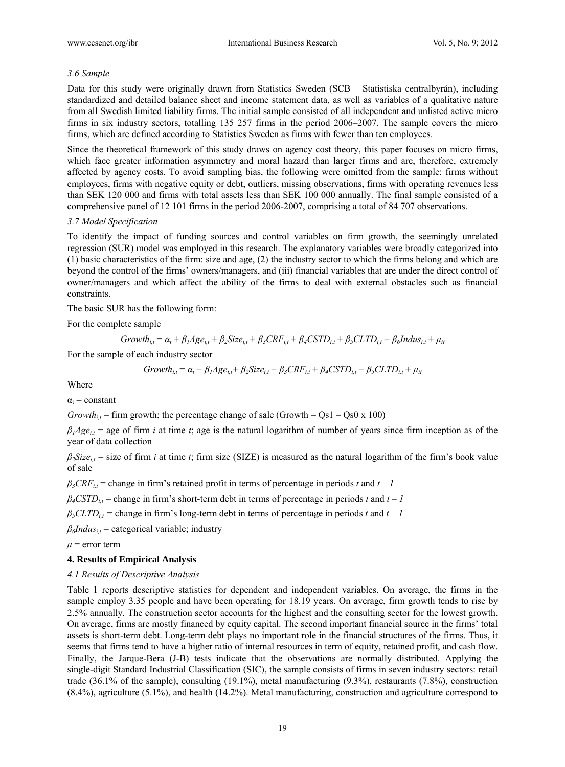#### *3.6 Sample*

Data for this study were originally drawn from Statistics Sweden (SCB – Statistiska centralbyrån), including standardized and detailed balance sheet and income statement data, as well as variables of a qualitative nature from all Swedish limited liability firms. The initial sample consisted of all independent and unlisted active micro firms in six industry sectors, totalling 135 257 firms in the period 2006–2007. The sample covers the micro firms, which are defined according to Statistics Sweden as firms with fewer than ten employees.

Since the theoretical framework of this study draws on agency cost theory, this paper focuses on micro firms, which face greater information asymmetry and moral hazard than larger firms and are, therefore, extremely affected by agency costs. To avoid sampling bias, the following were omitted from the sample: firms without employees, firms with negative equity or debt, outliers, missing observations, firms with operating revenues less than SEK 120 000 and firms with total assets less than SEK 100 000 annually. The final sample consisted of a comprehensive panel of 12 101 firms in the period 2006-2007, comprising a total of 84 707 observations.

#### *3.7 Model Specification*

To identify the impact of funding sources and control variables on firm growth, the seemingly unrelated regression (SUR) model was employed in this research. The explanatory variables were broadly categorized into (1) basic characteristics of the firm: size and age, (2) the industry sector to which the firms belong and which are beyond the control of the firms' owners/managers, and (iii) financial variables that are under the direct control of owner/managers and which affect the ability of the firms to deal with external obstacles such as financial constraints.

The basic SUR has the following form:

For the complete sample

$$
Growth_{i,t} = \alpha_t + \beta_l Age_{i,t} + \beta_2 Size_{i,t} + \beta_3CRF_{i,t} + \beta_4CSTD_{i,t} + \beta_5CLTD_{i,t} + \beta_6Indus_{i,t} + \mu_{it}
$$

For the sample of each industry sector

$$
Growth_{i,t} = \alpha_t + \beta_t Age_{i,t} + \beta_t Size_{i,t} + \beta_t CRF_{i,t} + \beta_t CSTD_{i,t} + \beta_t CLTD_{i,t} + \mu_{it}
$$

Where

 $\alpha_t$  = constant

*Growth*<sub>it</sub> = firm growth; the percentage change of sale (Growth =  $Qs1 - Qs0 \times 100$ )

 $\beta_1$ *Age<sub>it</sub>* = age of firm *i* at time *t*; age is the natural logarithm of number of years since firm inception as of the year of data collection

 $\beta_2$ *Size<sub>it</sub>* = size of firm *i* at time *t*; firm size (SIZE) is measured as the natural logarithm of the firm's book value of sale

 $\beta_3CRF_{it}$  = change in firm's retained profit in terms of percentage in periods *t* and  $t - 1$ 

 $\beta_4CSTD_{it}$  = change in firm's short-term debt in terms of percentage in periods *t* and  $t - 1$ 

 $\beta$ <sub>*5</sub>CLTD*<sub>*i*<sub>*i*</sub> = change in firm's long-term debt in terms of percentage in periods *t* and *t* – *I*</sub></sub>

 $\beta_0$ *Indus<sub>i,t</sub>* = categorical variable; industry

 $\mu$  = error term

#### **4. Results of Empirical Analysis**

#### *4.1 Results of Descriptive Analysis*

Table 1 reports descriptive statistics for dependent and independent variables. On average, the firms in the sample employ 3.35 people and have been operating for 18.19 years. On average, firm growth tends to rise by 2.5% annually. The construction sector accounts for the highest and the consulting sector for the lowest growth. On average, firms are mostly financed by equity capital. The second important financial source in the firms' total assets is short-term debt. Long-term debt plays no important role in the financial structures of the firms. Thus, it seems that firms tend to have a higher ratio of internal resources in term of equity, retained profit, and cash flow. Finally, the Jarque-Bera (J-B) tests indicate that the observations are normally distributed. Applying the single-digit Standard Industrial Classification (SIC), the sample consists of firms in seven industry sectors: retail trade (36.1% of the sample), consulting (19.1%), metal manufacturing (9.3%), restaurants (7.8%), construction (8.4%), agriculture (5.1%), and health (14.2%). Metal manufacturing, construction and agriculture correspond to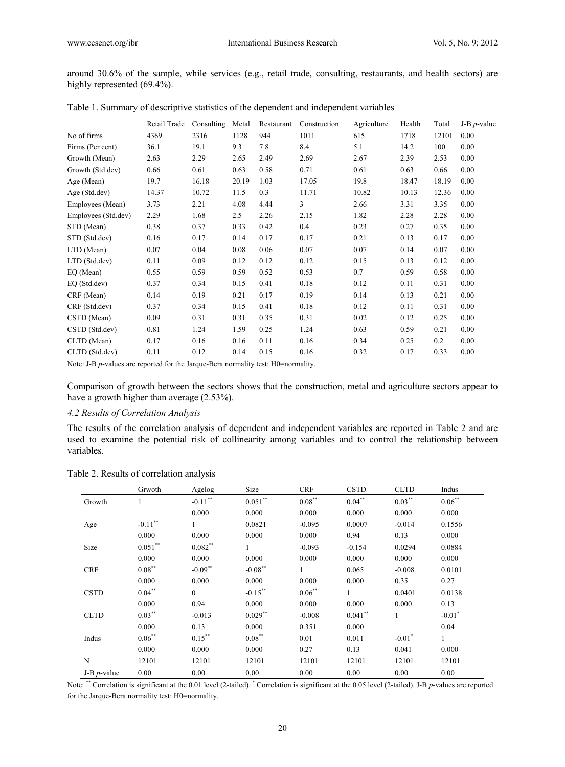around 30.6% of the sample, while services (e.g., retail trade, consulting, restaurants, and health sectors) are highly represented (69.4%).

|                     | Retail Trade | Consulting | Metal | Restaurant | Construction | Agriculture | Health | Total | J-B $p$ -value |
|---------------------|--------------|------------|-------|------------|--------------|-------------|--------|-------|----------------|
| No of firms         | 4369         | 2316       | 1128  | 944        | 1011         | 615         | 1718   | 12101 | 0.00           |
| Firms (Per cent)    | 36.1         | 19.1       | 9.3   | 7.8        | 8.4          | 5.1         | 14.2   | 100   | 0.00           |
| Growth (Mean)       | 2.63         | 2.29       | 2.65  | 2.49       | 2.69         | 2.67        | 2.39   | 2.53  | 0.00           |
| Growth (Std.dev)    | 0.66         | 0.61       | 0.63  | 0.58       | 0.71         | 0.61        | 0.63   | 0.66  | 0.00           |
| Age (Mean)          | 19.7         | 16.18      | 20.19 | 1.03       | 17.05        | 19.8        | 18.47  | 18.19 | 0.00           |
| Age (Std.dev)       | 14.37        | 10.72      | 11.5  | 0.3        | 11.71        | 10.82       | 10.13  | 12.36 | 0.00           |
| Employees (Mean)    | 3.73         | 2.21       | 4.08  | 4.44       | 3            | 2.66        | 3.31   | 3.35  | 0.00           |
| Employees (Std.dev) | 2.29         | 1.68       | 2.5   | 2.26       | 2.15         | 1.82        | 2.28   | 2.28  | 0.00           |
| STD (Mean)          | 0.38         | 0.37       | 0.33  | 0.42       | 0.4          | 0.23        | 0.27   | 0.35  | 0.00           |
| STD (Std.dev)       | 0.16         | 0.17       | 0.14  | 0.17       | 0.17         | 0.21        | 0.13   | 0.17  | 0.00           |
| LTD (Mean)          | 0.07         | 0.04       | 0.08  | 0.06       | 0.07         | 0.07        | 0.14   | 0.07  | 0.00           |
| LTD (Std.dev)       | 0.11         | 0.09       | 0.12  | 0.12       | 0.12         | 0.15        | 0.13   | 0.12  | 0.00           |
| EQ (Mean)           | 0.55         | 0.59       | 0.59  | 0.52       | 0.53         | 0.7         | 0.59   | 0.58  | 0.00           |
| EQ (Std.dev)        | 0.37         | 0.34       | 0.15  | 0.41       | 0.18         | 0.12        | 0.11   | 0.31  | 0.00           |
| CRF (Mean)          | 0.14         | 0.19       | 0.21  | 0.17       | 0.19         | 0.14        | 0.13   | 0.21  | 0.00           |
| CRF (Std.dev)       | 0.37         | 0.34       | 0.15  | 0.41       | 0.18         | 0.12        | 0.11   | 0.31  | 0.00           |
| CSTD (Mean)         | 0.09         | 0.31       | 0.31  | 0.35       | 0.31         | 0.02        | 0.12   | 0.25  | 0.00           |
| CSTD (Std.dev)      | 0.81         | 1.24       | 1.59  | 0.25       | 1.24         | 0.63        | 0.59   | 0.21  | 0.00           |
| CLTD (Mean)         | 0.17         | 0.16       | 0.16  | 0.11       | 0.16         | 0.34        | 0.25   | 0.2   | 0.00           |
| CLTD (Std.dev)      | 0.11         | 0.12       | 0.14  | 0.15       | 0.16         | 0.32        | 0.17   | 0.33  | 0.00           |

Table 1. Summary of descriptive statistics of the dependent and independent variables

Note: J-B *p*-values are reported for the Jarque-Bera normality test: H0=normality.

Comparison of growth between the sectors shows that the construction, metal and agriculture sectors appear to have a growth higher than average (2.53%).

#### *4.2 Results of Correlation Analysis*

The results of the correlation analysis of dependent and independent variables are reported in Table 2 and are used to examine the potential risk of collinearity among variables and to control the relationship between variables.

|                | Grwoth                | Agelog                | Size       | <b>CRF</b> | <b>CSTD</b> | <b>CLTD</b>          | Indus                |
|----------------|-----------------------|-----------------------|------------|------------|-------------|----------------------|----------------------|
| Growth         |                       | $-0.11$ <sup>**</sup> | $0.051$ ** | $0.08***$  | $0.04***$   | $0.03***$            | $0.06***$            |
|                |                       | 0.000                 | 0.000      | 0.000      | 0.000       | 0.000                | 0.000                |
| Age            | $-0.11$ <sup>**</sup> | 1                     | 0.0821     | $-0.095$   | 0.0007      | $-0.014$             | 0.1556               |
|                | 0.000                 | 0.000                 | 0.000      | 0.000      | 0.94        | 0.13                 | 0.000                |
| Size           | $0.051$ **            | $0.082**$             | 1          | $-0.093$   | $-0.154$    | 0.0294               | 0.0884               |
|                | 0.000                 | 0.000                 | 0.000      | 0.000      | 0.000       | 0.000                | 0.000                |
| <b>CRF</b>     | $0.08***$             | $-0.09$ **            | $-0.08$ ** | 1          | 0.065       | $-0.008$             | 0.0101               |
|                | 0.000                 | 0.000                 | 0.000      | 0.000      | 0.000       | 0.35                 | 0.27                 |
| <b>CSTD</b>    | $0.04***$             | $\theta$              | $-0.15$ ** | $0.06$ **  |             | 0.0401               | 0.0138               |
|                | 0.000                 | 0.94                  | 0.000      | 0.000      | 0.000       | 0.000                | 0.13                 |
| <b>CLTD</b>    | $0.03***$             | $-0.013$              | $0.029$ ** | $-0.008$   | $0.041$ **  | 1                    | $-0.01$ <sup>*</sup> |
|                | 0.000                 | 0.13                  | 0.000      | 0.351      | 0.000       |                      | 0.04                 |
| Indus          | $0.06***$             | $0.15***$             | $0.08***$  | 0.01       | 0.011       | $-0.01$ <sup>*</sup> | 1                    |
|                | 0.000                 | 0.000                 | 0.000      | 0.27       | 0.13        | 0.041                | 0.000                |
| N              | 12101                 | 12101                 | 12101      | 12101      | 12101       | 12101                | 12101                |
| J-B $p$ -value | 0.00                  | 0.00                  | 0.00       | 0.00       | 0.00        | 0.00                 | 0.00                 |

Table 2. Results of correlation analysis

Note: \*\* Correlation is significant at the 0.01 level (2-tailed). \* Correlation is significant at the 0.05 level (2-tailed). J-B *p*-values are reported for the Jarque-Bera normality test: H0=normality.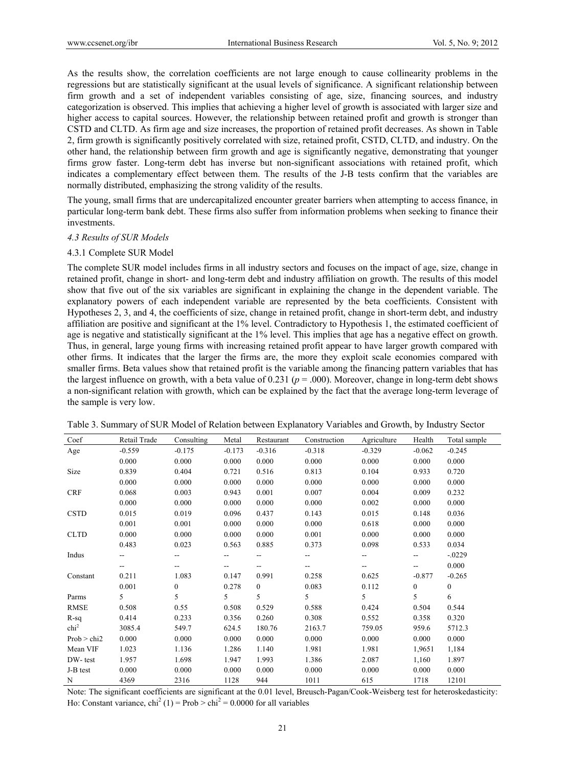As the results show, the correlation coefficients are not large enough to cause collinearity problems in the regressions but are statistically significant at the usual levels of significance. A significant relationship between firm growth and a set of independent variables consisting of age, size, financing sources, and industry categorization is observed. This implies that achieving a higher level of growth is associated with larger size and higher access to capital sources. However, the relationship between retained profit and growth is stronger than CSTD and CLTD. As firm age and size increases, the proportion of retained profit decreases. As shown in Table 2, firm growth is significantly positively correlated with size, retained profit, CSTD, CLTD, and industry. On the other hand, the relationship between firm growth and age is significantly negative, demonstrating that younger firms grow faster. Long-term debt has inverse but non-significant associations with retained profit, which indicates a complementary effect between them. The results of the J-B tests confirm that the variables are normally distributed, emphasizing the strong validity of the results.

The young, small firms that are undercapitalized encounter greater barriers when attempting to access finance, in particular long-term bank debt. These firms also suffer from information problems when seeking to finance their investments.

#### *4.3 Results of SUR Models*

#### 4.3.1 Complete SUR Model

The complete SUR model includes firms in all industry sectors and focuses on the impact of age, size, change in retained profit, change in short- and long-term debt and industry affiliation on growth. The results of this model show that five out of the six variables are significant in explaining the change in the dependent variable. The explanatory powers of each independent variable are represented by the beta coefficients. Consistent with Hypotheses 2, 3, and 4, the coefficients of size, change in retained profit, change in short-term debt, and industry affiliation are positive and significant at the 1% level. Contradictory to Hypothesis 1, the estimated coefficient of age is negative and statistically significant at the 1% level. This implies that age has a negative effect on growth. Thus, in general, large young firms with increasing retained profit appear to have larger growth compared with other firms. It indicates that the larger the firms are, the more they exploit scale economies compared with smaller firms. Beta values show that retained profit is the variable among the financing pattern variables that has the largest influence on growth, with a beta value of 0.231 ( $p = .000$ ). Moreover, change in long-term debt shows a non-significant relation with growth, which can be explained by the fact that the average long-term leverage of the sample is very low.

| Coef                    | Retail Trade | Consulting | Metal    | Restaurant | Construction | Agriculture | Health           | Total sample     |
|-------------------------|--------------|------------|----------|------------|--------------|-------------|------------------|------------------|
| Age                     | $-0.559$     | $-0.175$   | $-0.173$ | $-0.316$   | $-0.318$     | $-0.329$    | $-0.062$         | $-0.245$         |
|                         | 0.000        | 0.000      | 0.000    | 0.000      | 0.000        | 0.000       | 0.000            | 0.000            |
| Size                    | 0.839        | 0.404      | 0.721    | 0.516      | 0.813        | 0.104       | 0.933            | 0.720            |
|                         | 0.000        | 0.000      | 0.000    | 0.000      | 0.000        | 0.000       | 0.000            | 0.000            |
| <b>CRF</b>              | 0.068        | 0.003      | 0.943    | 0.001      | 0.007        | 0.004       | 0.009            | 0.232            |
|                         | 0.000        | 0.000      | 0.000    | 0.000      | 0.000        | 0.002       | 0.000            | 0.000            |
| <b>CSTD</b>             | 0.015        | 0.019      | 0.096    | 0.437      | 0.143        | 0.015       | 0.148            | 0.036            |
|                         | 0.001        | 0.001      | 0.000    | 0.000      | 0.000        | 0.618       | 0.000            | 0.000            |
| <b>CLTD</b>             | 0.000        | 0.000      | 0.000    | 0.000      | 0.001        | 0.000       | 0.000            | 0.000            |
|                         | 0.483        | 0.023      | 0.563    | 0.885      | 0.373        | 0.098       | 0.533            | 0.034            |
| Indus                   |              | --         |          | ۰.         | --           | --          |                  | $-.0229$         |
|                         | $- -$        | --         | --       | --         | --           | --          | --               | 0.000            |
| Constant                | 0.211        | 1.083      | 0.147    | 0.991      | 0.258        | 0.625       | $-0.877$         | $-0.265$         |
|                         | 0.001        | 0          | 0.278    | $\theta$   | 0.083        | 0.112       | $\boldsymbol{0}$ | $\boldsymbol{0}$ |
| Parms                   | 5            | 5          | 5        | 5          | 5            | 5           | 5                | 6                |
| <b>RMSE</b>             | 0.508        | 0.55       | 0.508    | 0.529      | 0.588        | 0.424       | 0.504            | 0.544            |
| $R-sq$                  | 0.414        | 0.233      | 0.356    | 0.260      | 0.308        | 0.552       | 0.358            | 0.320            |
| $\chi$ chi <sup>2</sup> | 3085.4       | 549.7      | 624.5    | 180.76     | 2163.7       | 759.05      | 959.6            | 5712.3           |
| Prob > chi2             | 0.000        | 0.000      | 0.000    | 0.000      | 0.000        | 0.000       | 0.000            | 0.000            |
| Mean VIF                | 1.023        | 1.136      | 1.286    | 1.140      | 1.981        | 1.981       | 1,9651           | 1,184            |
| DW-test                 | 1.957        | 1.698      | 1.947    | 1.993      | 1.386        | 2.087       | 1,160            | 1.897            |
| J-B test                | 0.000        | 0.000      | 0.000    | 0.000      | 0.000        | 0.000       | 0.000            | 0.000            |
| N                       | 4369         | 2316       | 1128     | 944        | 1011         | 615         | 1718             | 12101            |

Table 3. Summary of SUR Model of Relation between Explanatory Variables and Growth, by Industry Sector

Note: The significant coefficients are significant at the 0.01 level, Breusch-Pagan/Cook-Weisberg test for heteroskedasticity: Ho: Constant variance,  $\text{chi}^2(1) = \text{Prob} > \text{chi}^2 = 0.0000$  for all variables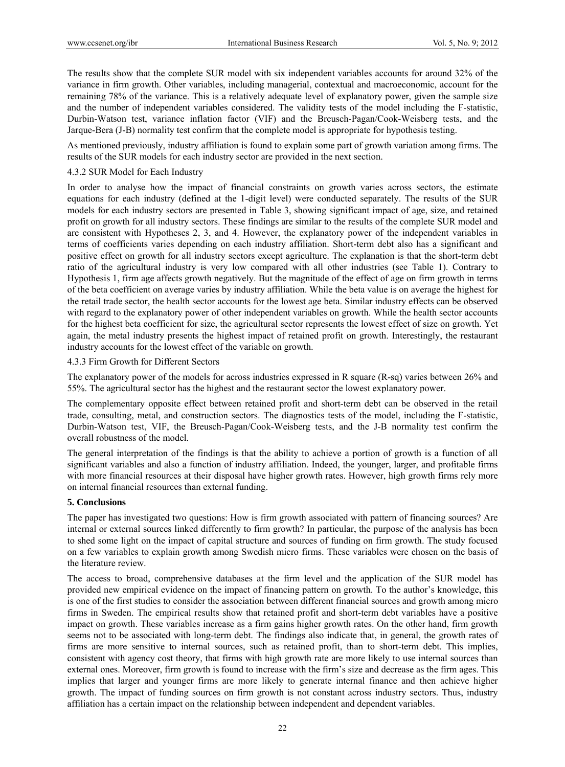The results show that the complete SUR model with six independent variables accounts for around 32% of the variance in firm growth. Other variables, including managerial, contextual and macroeconomic, account for the remaining 78% of the variance. This is a relatively adequate level of explanatory power, given the sample size and the number of independent variables considered. The validity tests of the model including the F-statistic, Durbin-Watson test, variance inflation factor (VIF) and the Breusch-Pagan/Cook-Weisberg tests, and the Jarque-Bera (J-B) normality test confirm that the complete model is appropriate for hypothesis testing.

As mentioned previously, industry affiliation is found to explain some part of growth variation among firms. The results of the SUR models for each industry sector are provided in the next section.

## 4.3.2 SUR Model for Each Industry

In order to analyse how the impact of financial constraints on growth varies across sectors, the estimate equations for each industry (defined at the 1-digit level) were conducted separately. The results of the SUR models for each industry sectors are presented in Table 3, showing significant impact of age, size, and retained profit on growth for all industry sectors. These findings are similar to the results of the complete SUR model and are consistent with Hypotheses 2, 3, and 4. However, the explanatory power of the independent variables in terms of coefficients varies depending on each industry affiliation. Short-term debt also has a significant and positive effect on growth for all industry sectors except agriculture. The explanation is that the short-term debt ratio of the agricultural industry is very low compared with all other industries (see Table 1). Contrary to Hypothesis 1, firm age affects growth negatively. But the magnitude of the effect of age on firm growth in terms of the beta coefficient on average varies by industry affiliation. While the beta value is on average the highest for the retail trade sector, the health sector accounts for the lowest age beta. Similar industry effects can be observed with regard to the explanatory power of other independent variables on growth. While the health sector accounts for the highest beta coefficient for size, the agricultural sector represents the lowest effect of size on growth. Yet again, the metal industry presents the highest impact of retained profit on growth. Interestingly, the restaurant industry accounts for the lowest effect of the variable on growth.

## 4.3.3 Firm Growth for Different Sectors

The explanatory power of the models for across industries expressed in R square (R-sq) varies between 26% and 55%. The agricultural sector has the highest and the restaurant sector the lowest explanatory power.

The complementary opposite effect between retained profit and short-term debt can be observed in the retail trade, consulting, metal, and construction sectors. The diagnostics tests of the model, including the F-statistic, Durbin-Watson test, VIF, the Breusch-Pagan/Cook-Weisberg tests, and the J-B normality test confirm the overall robustness of the model.

The general interpretation of the findings is that the ability to achieve a portion of growth is a function of all significant variables and also a function of industry affiliation. Indeed, the younger, larger, and profitable firms with more financial resources at their disposal have higher growth rates. However, high growth firms rely more on internal financial resources than external funding.

## **5. Conclusions**

The paper has investigated two questions: How is firm growth associated with pattern of financing sources? Are internal or external sources linked differently to firm growth? In particular, the purpose of the analysis has been to shed some light on the impact of capital structure and sources of funding on firm growth. The study focused on a few variables to explain growth among Swedish micro firms. These variables were chosen on the basis of the literature review.

The access to broad, comprehensive databases at the firm level and the application of the SUR model has provided new empirical evidence on the impact of financing pattern on growth. To the author's knowledge, this is one of the first studies to consider the association between different financial sources and growth among micro firms in Sweden. The empirical results show that retained profit and short-term debt variables have a positive impact on growth. These variables increase as a firm gains higher growth rates. On the other hand, firm growth seems not to be associated with long-term debt. The findings also indicate that, in general, the growth rates of firms are more sensitive to internal sources, such as retained profit, than to short-term debt. This implies, consistent with agency cost theory, that firms with high growth rate are more likely to use internal sources than external ones. Moreover, firm growth is found to increase with the firm's size and decrease as the firm ages. This implies that larger and younger firms are more likely to generate internal finance and then achieve higher growth. The impact of funding sources on firm growth is not constant across industry sectors. Thus, industry affiliation has a certain impact on the relationship between independent and dependent variables.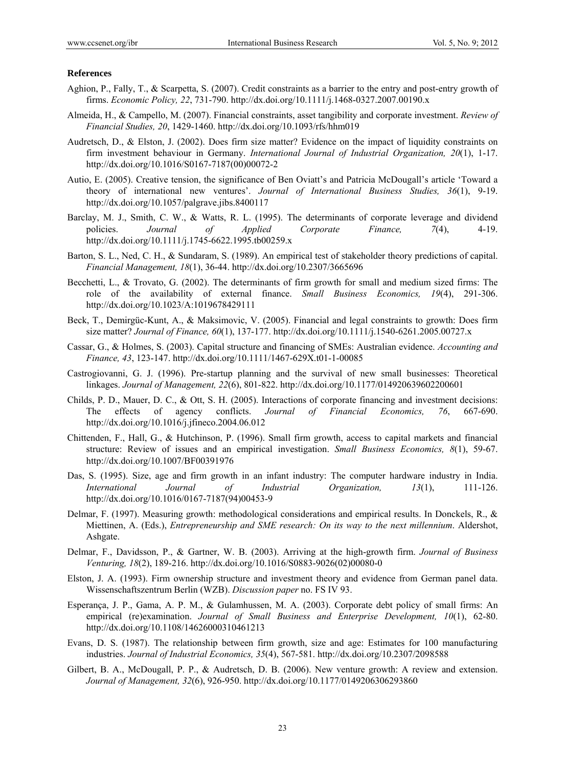#### **References**

- Aghion, P., Fally, T., & Scarpetta, S. (2007). Credit constraints as a barrier to the entry and post-entry growth of firms. *Economic Policy, 22*, 731-790. http://dx.doi.org/10.1111/j.1468-0327.2007.00190.x
- Almeida, H., & Campello, M. (2007). Financial constraints, asset tangibility and corporate investment. *Review of Financial Studies, 20*, 1429-1460. http://dx.doi.org/10.1093/rfs/hhm019
- Audretsch, D., & Elston, J. (2002). Does firm size matter? Evidence on the impact of liquidity constraints on firm investment behaviour in Germany. *International Journal of Industrial Organization, 20*(1), 1-17. http://dx.doi.org/10.1016/S0167-7187(00)00072-2
- Autio, E. (2005). Creative tension, the significance of Ben Oviatt's and Patricia McDougall's article 'Toward a theory of international new ventures'. *Journal of International Business Studies, 36*(1), 9-19. http://dx.doi.org/10.1057/palgrave.jibs.8400117
- Barclay, M. J., Smith, C. W., & Watts, R. L. (1995). The determinants of corporate leverage and dividend policies. *Journal of Applied Corporate Finance, 7*(4), 4-19. http://dx.doi.org/10.1111/j.1745-6622.1995.tb00259.x
- Barton, S. L., Ned, C. H., & Sundaram, S. (1989). An empirical test of stakeholder theory predictions of capital. *Financial Management, 18*(1), 36-44. http://dx.doi.org/10.2307/3665696
- Becchetti, L., & Trovato, G. (2002). The determinants of firm growth for small and medium sized firms: The role of the availability of external finance. *Small Business Economics, 19*(4), 291-306. http://dx.doi.org/10.1023/A:1019678429111
- Beck, T., Demirgüc-Kunt, A., & Maksimovic, V. (2005). Financial and legal constraints to growth: Does firm size matter? *Journal of Finance, 60*(1), 137-177. http://dx.doi.org/10.1111/j.1540-6261.2005.00727.x
- Cassar, G., & Holmes, S. (2003). Capital structure and financing of SMEs: Australian evidence. *Accounting and Finance, 43*, 123-147. http://dx.doi.org/10.1111/1467-629X.t01-1-00085
- Castrogiovanni, G. J. (1996). Pre-startup planning and the survival of new small businesses: Theoretical linkages. *Journal of Management, 22*(6), 801-822. http://dx.doi.org/10.1177/014920639602200601
- Childs, P. D., Mauer, D. C., & Ott, S. H. (2005). Interactions of corporate financing and investment decisions: The effects of agency conflicts. *Journal of Financial Economics, 76*, 667-690. http://dx.doi.org/10.1016/j.jfineco.2004.06.012
- Chittenden, F., Hall, G., & Hutchinson, P. (1996). Small firm growth, access to capital markets and financial structure: Review of issues and an empirical investigation. *Small Business Economics, 8*(1), 59-67. http://dx.doi.org/10.1007/BF00391976
- Das, S. (1995). Size, age and firm growth in an infant industry: The computer hardware industry in India. *International Journal of Industrial Organization, 13*(1), 111-126. http://dx.doi.org/10.1016/0167-7187(94)00453-9
- Delmar, F. (1997). Measuring growth: methodological considerations and empirical results. In Donckels, R., & Miettinen, A. (Eds.), *Entrepreneurship and SME research: On its way to the next millennium*. Aldershot, Ashgate.
- Delmar, F., Davidsson, P., & Gartner, W. B. (2003). Arriving at the high-growth firm. *Journal of Business Venturing, 18*(2), 189-216. http://dx.doi.org/10.1016/S0883-9026(02)00080-0
- Elston, J. A. (1993). Firm ownership structure and investment theory and evidence from German panel data. Wissenschaftszentrum Berlin (WZB). *Discussion paper* no. FS IV 93.
- Esperança, J. P., Gama, A. P. M., & Gulamhussen, M. A. (2003). Corporate debt policy of small firms: An empirical (re)examination. *Journal of Small Business and Enterprise Development, 10*(1), 62-80. http://dx.doi.org/10.1108/14626000310461213
- Evans, D. S. (1987). The relationship between firm growth, size and age: Estimates for 100 manufacturing industries. *Journal of Industrial Economics, 35*(4), 567-581. http://dx.doi.org/10.2307/2098588
- Gilbert, B. A., McDougall, P. P., & Audretsch, D. B. (2006). New venture growth: A review and extension. *Journal of Management, 32*(6), 926-950. http://dx.doi.org/10.1177/0149206306293860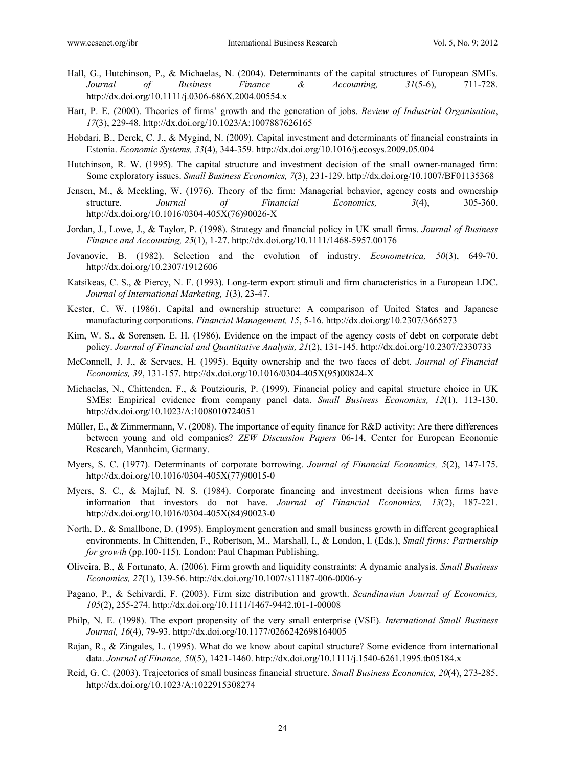- Hall, G., Hutchinson, P., & Michaelas, N. (2004). Determinants of the capital structures of European SMEs. *Journal of Business Finance & Accounting, 31*(5-6), 711-728. http://dx.doi.org/10.1111/j.0306-686X.2004.00554.x
- Hart, P. E. (2000). Theories of firms' growth and the generation of jobs. *Review of Industrial Organisation*, *17*(3), 229-48. http://dx.doi.org/10.1023/A:1007887626165
- Hobdari, B., Derek, C. J., & Mygind, N. (2009). Capital investment and determinants of financial constraints in Estonia. *Economic Systems, 33*(4), 344-359. http://dx.doi.org/10.1016/j.ecosys.2009.05.004
- Hutchinson, R. W. (1995). The capital structure and investment decision of the small owner-managed firm: Some exploratory issues. *Small Business Economics, 7*(3), 231-129. http://dx.doi.org/10.1007/BF01135368
- Jensen, M., & Meckling, W. (1976). Theory of the firm: Managerial behavior, agency costs and ownership structure. *Journal of Financial Economics, 3*(4), 305-360. http://dx.doi.org/10.1016/0304-405X(76)90026-X
- Jordan, J., Lowe, J., & Taylor, P. (1998). Strategy and financial policy in UK small firms. *Journal of Business Finance and Accounting, 25*(1), 1-27. http://dx.doi.org/10.1111/1468-5957.00176
- Jovanovic, B. (1982). Selection and the evolution of industry. *Econometrica, 50*(3), 649-70. http://dx.doi.org/10.2307/1912606
- Katsikeas, C. S., & Piercy, N. F. (1993). Long-term export stimuli and firm characteristics in a European LDC. *Journal of International Marketing, 1*(3), 23-47.
- Kester, C. W. (1986). Capital and ownership structure: A comparison of United States and Japanese manufacturing corporations. *Financial Management, 15*, 5-16. http://dx.doi.org/10.2307/3665273
- Kim, W. S., & Sorensen. E. H. (1986). Evidence on the impact of the agency costs of debt on corporate debt policy. *Journal of Financial and Quantitative Analysis, 21*(2), 131-145. http://dx.doi.org/10.2307/2330733
- McConnell, J. J., & Servaes, H. (1995). Equity ownership and the two faces of debt. *Journal of Financial Economics, 39*, 131-157. http://dx.doi.org/10.1016/0304-405X(95)00824-X
- Michaelas, N., Chittenden, F., & Poutziouris, P. (1999). Financial policy and capital structure choice in UK SMEs: Empirical evidence from company panel data. *Small Business Economics, 12*(1), 113-130. http://dx.doi.org/10.1023/A:1008010724051
- Müller, E., & Zimmermann, V. (2008). The importance of equity finance for R&D activity: Are there differences between young and old companies? *ZEW Discussion Papers* 06-14, Center for European Economic Research, Mannheim, Germany.
- Myers, S. C. (1977). Determinants of corporate borrowing. *Journal of Financial Economics, 5*(2), 147-175. http://dx.doi.org/10.1016/0304-405X(77)90015-0
- Myers, S. C., & Majluf, N. S. (1984). Corporate financing and investment decisions when firms have information that investors do not have. *Journal of Financial Economics, 13*(2), 187-221. http://dx.doi.org/10.1016/0304-405X(84)90023-0
- North, D., & Smallbone, D. (1995). Employment generation and small business growth in different geographical environments. In Chittenden, F., Robertson, M., Marshall, I., & London, I. (Eds.), *Small firms: Partnership for growth* (pp.100-115). London: Paul Chapman Publishing.
- Oliveira, B., & Fortunato, A. (2006). Firm growth and liquidity constraints: A dynamic analysis. *Small Business Economics, 27*(1), 139-56. http://dx.doi.org/10.1007/s11187-006-0006-y
- Pagano, P., & Schivardi, F. (2003). Firm size distribution and growth. *Scandinavian Journal of Economics, 105*(2), 255-274. http://dx.doi.org/10.1111/1467-9442.t01-1-00008
- Philp, N. E. (1998). The export propensity of the very small enterprise (VSE). *International Small Business Journal, 16*(4), 79-93. http://dx.doi.org/10.1177/0266242698164005
- Rajan, R., & Zingales, L. (1995). What do we know about capital structure? Some evidence from international data. *Journal of Finance, 50*(5), 1421-1460. http://dx.doi.org/10.1111/j.1540-6261.1995.tb05184.x
- Reid, G. C. (2003). Trajectories of small business financial structure. *Small Business Economics, 20*(4), 273-285. http://dx.doi.org/10.1023/A:1022915308274